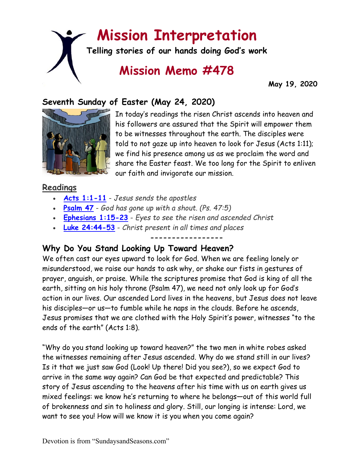# **Mission Interpretation**

**Telling stories of our hands doing God's work**

## **Mission Memo #478**

 **May 19, 2020**

### **Seventh Sunday of Easter (May 24, 2020)**



In today's readings the risen Christ ascends into heaven and his followers are assured that the Spirit will empower them to be witnesses throughout the earth. The disciples were told to not gaze up into heaven to look for Jesus (Acts 1:11); we find his presence among us as we proclaim the word and share the Easter feast. We too long for the Spirit to enliven our faith and invigorate our mission.

### **Readings**

- **[Acts 1:1-11](https://members.sundaysandseasons.com/)** *Jesus sends the apostles*
- **[Psalm 47](https://members.sundaysandseasons.com/)** *God has gone up with a shout. (Ps. 47:5)*
- **[Ephesians 1:15-23](https://members.sundaysandseasons.com/)** *Eyes to see the risen and ascended Christ*
- **[Luke 24:44-53](https://members.sundaysandseasons.com/)** *Christ present in all times and places*

### **-----------------**

### **Why Do You Stand Looking Up Toward Heaven?**

We often cast our eyes upward to look for God. When we are feeling lonely or misunderstood, we raise our hands to ask why, or shake our fists in gestures of prayer, anguish, or praise. While the scriptures promise that God is king of all the earth, sitting on his holy throne (Psalm 47), we need not only look up for God's action in our lives. Our ascended Lord lives in the heavens, but Jesus does not leave his disciples—or us—to fumble while he naps in the clouds. Before he ascends, Jesus promises that we are clothed with the Holy Spirit's power, witnesses "to the ends of the earth" (Acts 1:8).

"Why do you stand looking up toward heaven?" the two men in white robes asked the witnesses remaining after Jesus ascended. Why do we stand still in our lives? Is it that we just saw God (Look! Up there! Did you see?), so we expect God to arrive in the same way again? Can God be that expected and predictable? This story of Jesus ascending to the heavens after his time with us on earth gives us mixed feelings: we know he's returning to where he belongs—out of this world full of brokenness and sin to holiness and glory. Still, our longing is intense: Lord, we want to see you! How will we know it is you when you come again?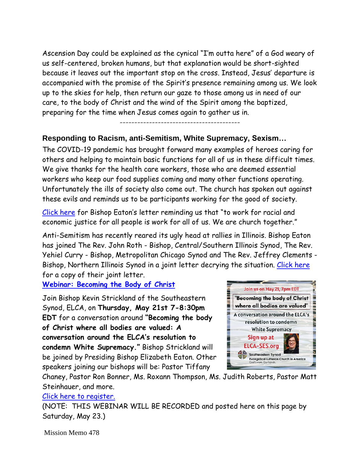Ascension Day could be explained as the cynical "I'm outta here" of a God weary of us self-centered, broken humans, but that explanation would be short-sighted because it leaves out the important stop on the cross. Instead, Jesus' departure is accompanied with the promise of the Spirit's presence remaining among us. We look up to the skies for help, then return our gaze to those among us in need of our care, to the body of Christ and the wind of the Spirit among the baptized, preparing for the time when Jesus comes again to gather us in.

-----------------------------------------

### **Responding to Racism, anti-Semitism, White Supremacy, Sexism…**

The COVID-19 pandemic has brought forward many examples of heroes caring for others and helping to maintain basic functions for all of us in these difficult times. We give thanks for the health care workers, those who are deemed essential workers who keep our food supplies coming and many other functions operating. Unfortunately the ills of society also come out. The church has spoken out against these evils and reminds us to be participants working for the good of society.

[Click here](https://www.elca.org/News-and-Events/8037) for Bishop Eaton's letter reminding us that "to work for racial and economic justice for all people is work for all of us. We are church together."

Anti-Semitism has recently reared its ugly head at rallies in Illinois. Bishop Eaton has joined The Rev. John Roth - Bishop, Central/Southern Illinois Synod, The Rev. Yehiel Curry - Bishop, Metropolitan Chicago Synod and The Rev. Jeffrey Clements - Bishop, Northern Illinois Synod in a joint letter decrying the situation. [Click here](https://www.elca.org/News-and-Events/8038) for a copy of their joint letter.

**[Webinar: Becoming the Body of Christ](https://www.elca-ses.org/eventdetail/13995520)**

Join Bishop Kevin Strickland of the Southeastern Synod, ELCA, on **Thursday, May 21st 7-8:30pm EDT** for a conversation around **"Becoming the body of Christ where all bodies are valued: A conversation around the ELCA's resolution to condemn White Supremacy."** Bishop Strickland will be joined by Presiding Bishop Elizabeth Eaton. Other speakers joining our bishops will be: Pastor Tiffany



Chaney, Pastor Ron Bonner, Ms. Roxann Thompson, Ms. Judith Roberts, Pastor Matt Steinhauer, and more.

#### [Click here to register.](https://www.elca-ses.org/eventdetail/13995520)

(NOTE: THIS WEBINAR WILL BE RECORDED and posted here on this page by Saturday, May 23.)

Mission Memo 478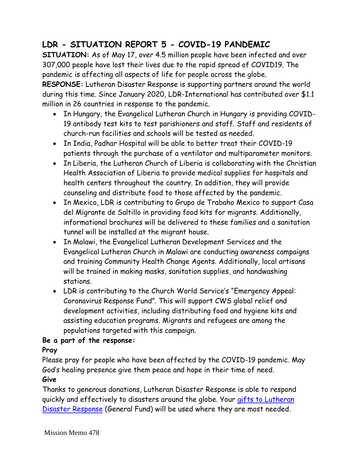### **LDR - SITUATION REPORT 5 - COVID-19 PANDEMIC**

**SITUATION:** As of May 17, over 4.5 million people have been infected and over 307,000 people have lost their lives due to the rapid spread of COVID19. The pandemic is affecting all aspects of life for people across the globe.

**RESPONSE:** Lutheran Disaster Response is supporting partners around the world during this time. Since January 2020, LDR-International has contributed over \$1.1 million in 26 countries in response to the pandemic.

- In Hungary, the Evangelical Lutheran Church in Hungary is providing COVID-19 antibody test kits to test parishioners and staff. Staff and residents of church-run facilities and schools will be tested as needed.
- In India, Padhar Hospital will be able to better treat their COVID-19 patients through the purchase of a ventilator and multiparameter monitors.
- In Liberia, the Lutheran Church of Liberia is collaborating with the Christian Health Association of Liberia to provide medical supplies for hospitals and health centers throughout the country. In addition, they will provide counseling and distribute food to those affected by the pandemic.
- In Mexico, LDR is contributing to Grupo de Trabaho Mexico to support Casa del Migrante de Saltillo in providing food kits for migrants. Additionally, informational brochures will be delivered to these families and a sanitation tunnel will be installed at the migrant house.
- In Malawi, the Evangelical Lutheran Development Services and the Evangelical Lutheran Church in Malawi are conducting awareness campaigns and training Community Health Change Agents. Additionally, local artisans will be trained in making masks, sanitation supplies, and handwashing stations.
- LDR is contributing to the Church World Service's "Emergency Appeal: Coronavirus Response Fund". This will support CWS global relief and development activities, including distributing food and hygiene kits and assisting education programs. Migrants and refugees are among the populations targeted with this campaign.

### **Be a part of the response:**

### **Pray**

Please pray for people who have been affected by the COVID-19 pandemic. May God's healing presence give them peace and hope in their time of need. **Give**

Thanks to generous donations, Lutheran Disaster Response is able to respond quickly and effectively to disasters around the globe. Your gifts to Lutheran [Disaster Response](https://community.elca.org/lutherandisasterresponse?_ga=2.197307814.80074514.1585605379-887974161.1583356158) (General Fund) will be used where they are most needed.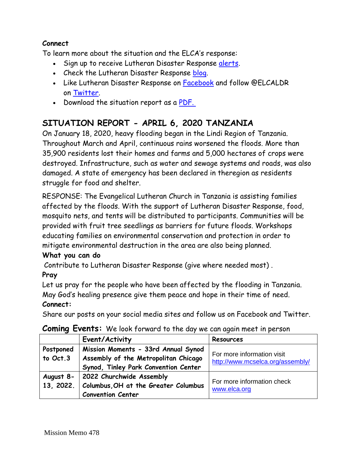### **Connect**

To learn more about the situation and the ELCA's response:

- Sign up to receive Lutheran Disaster Response [alerts.](http://listserv.elca.org/cgi-bin/wa.exe?SUBED1=DISASTER&A=1)
- Check the Lutheran Disaster Response [blog.](http://blogs.elca.org/disasterresponse/)
- Like Lutheran Disaster Response on [Facebook](https://www.facebook.com/ELCALDR/) and follow @ELCALDR on [Twitter.](https://twitter.com/elcaldr)
- Download the situation report as a [PDF.](https://blogs.elca.org/disasterresponse/files/2020/05/covid-19-pandem_46577573.pdf)

### **SITUATION REPORT - APRIL 6, 2020 TANZANIA**

On January 18, 2020, heavy flooding began in the Lindi Region of Tanzania. Throughout March and April, continuous rains worsened the floods. More than 35,900 residents lost their homes and farms and 5,000 hectares of crops were destroyed. Infrastructure, such as water and sewage systems and roads, was also damaged. A state of emergency has been declared in theregion as residents struggle for food and shelter.

RESPONSE: The Evangelical Lutheran Church in Tanzania is assisting families affected by the floods. With the support of Lutheran Disaster Response, food, mosquito nets, and tents will be distributed to participants. Communities will be provided with fruit tree seedlings as barriers for future floods. Workshops educating families on environmental conservation and protection in order to mitigate environmental destruction in the area are also being planned.

#### **What you can do**

Contribute to Lutheran Disaster Response (give where needed most) .

#### **Pray**

Let us pray for the people who have been affected by the flooding in Tanzania. May God's healing presence give them peace and hope in their time of need. **Connect:**

Share our posts on your social media sites and follow us on Facebook and Twitter.

#### **Coming Events:** We look forward to the day we can again meet in person

|                       | Event/Activity                                                                                                      | Resources                                                      |
|-----------------------|---------------------------------------------------------------------------------------------------------------------|----------------------------------------------------------------|
| Postponed<br>to Oct.3 | Mission Moments - 33rd Annual Synod<br>Assembly of the Metropolitan Chicago<br>Synod, Tinley Park Convention Center | For more information visit<br>http://www.mcselca.org/assembly/ |
| 13, 2022.             | August 8- 2022 Churchwide Assembly<br>Columbus, OH at the Greater Columbus<br><b>Convention Center</b>              | For more information check<br>www.elca.org                     |